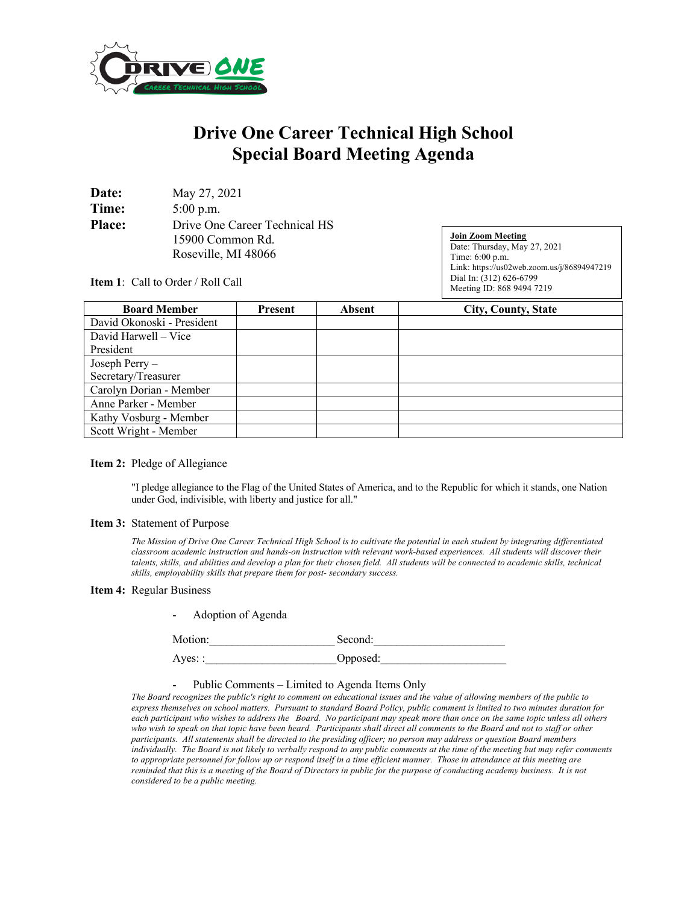

## **Drive One Career Technical High School Special Board Meeting Agenda**

| Date:         | May 27, 2021                  |
|---------------|-------------------------------|
| Time:         | $5:00$ p.m.                   |
| <b>Place:</b> | Drive One Career Technical HS |
|               | 15900 Common Rd.              |
|               | Roseville, MI 48066           |

**Join Zoom Meeting** Date: Thursday, May 27, 2021 Time: 6:00 p.m. Link: https://us02web.zoom.us/j/86894947219 Dial In: (312) 626-6799 Meeting ID: 868 9494 7219

**Item 1**: Call to Order / Roll Call

| <b>Board Member</b>        | Present | <b>Absent</b> | <b>City, County, State</b> |
|----------------------------|---------|---------------|----------------------------|
| David Okonoski - President |         |               |                            |
| David Harwell – Vice       |         |               |                            |
| President                  |         |               |                            |
| Joseph Perry-              |         |               |                            |
| Secretary/Treasurer        |         |               |                            |
| Carolyn Dorian - Member    |         |               |                            |
| Anne Parker - Member       |         |               |                            |
| Kathy Vosburg - Member     |         |               |                            |
| Scott Wright - Member      |         |               |                            |

## **Item 2:** Pledge of Allegiance

"I pledge allegiance to the Flag of the United States of America, and to the Republic for which it stands, one Nation under God, indivisible, with liberty and justice for all."

## **Item 3:** Statement of Purpose

*The Mission of Drive One Career Technical High School is to cultivate the potential in each student by integrating differentiated classroom academic instruction and hands-on instruction with relevant work-based experiences. All students will discover their talents, skills, and abilities and develop a plan for their chosen field. All students will be connected to academic skills, technical skills, employability skills that prepare them for post- secondary success.*

## **Item 4:** Regular Business

| Motion:        | Second:  |  |  |
|----------------|----------|--|--|
| Ayes: $\colon$ | Opposed: |  |  |

Public Comments – Limited to Agenda Items Only

Adoption of Agenda

*The Board recognizes the public's right to comment on educational issues and the value of allowing members of the public to express themselves on school matters. Pursuant to standard Board Policy, public comment is limited to two minutes duration for each participant who wishes to address the Board. No participant may speak more than once on the same topic unless all others who wish to speak on that topic have been heard. Participants shall direct all comments to the Board and not to staff or other participants. All statements shall be directed to the presiding officer; no person may address or question Board members individually. The Board is not likely to verbally respond to any public comments at the time of the meeting but may refer comments to appropriate personnel for follow up or respond itself in a time efficient manner. Those in attendance at this meeting are reminded that this is a meeting of the Board of Directors in public for the purpose of conducting academy business. It is not considered to be a public meeting.*